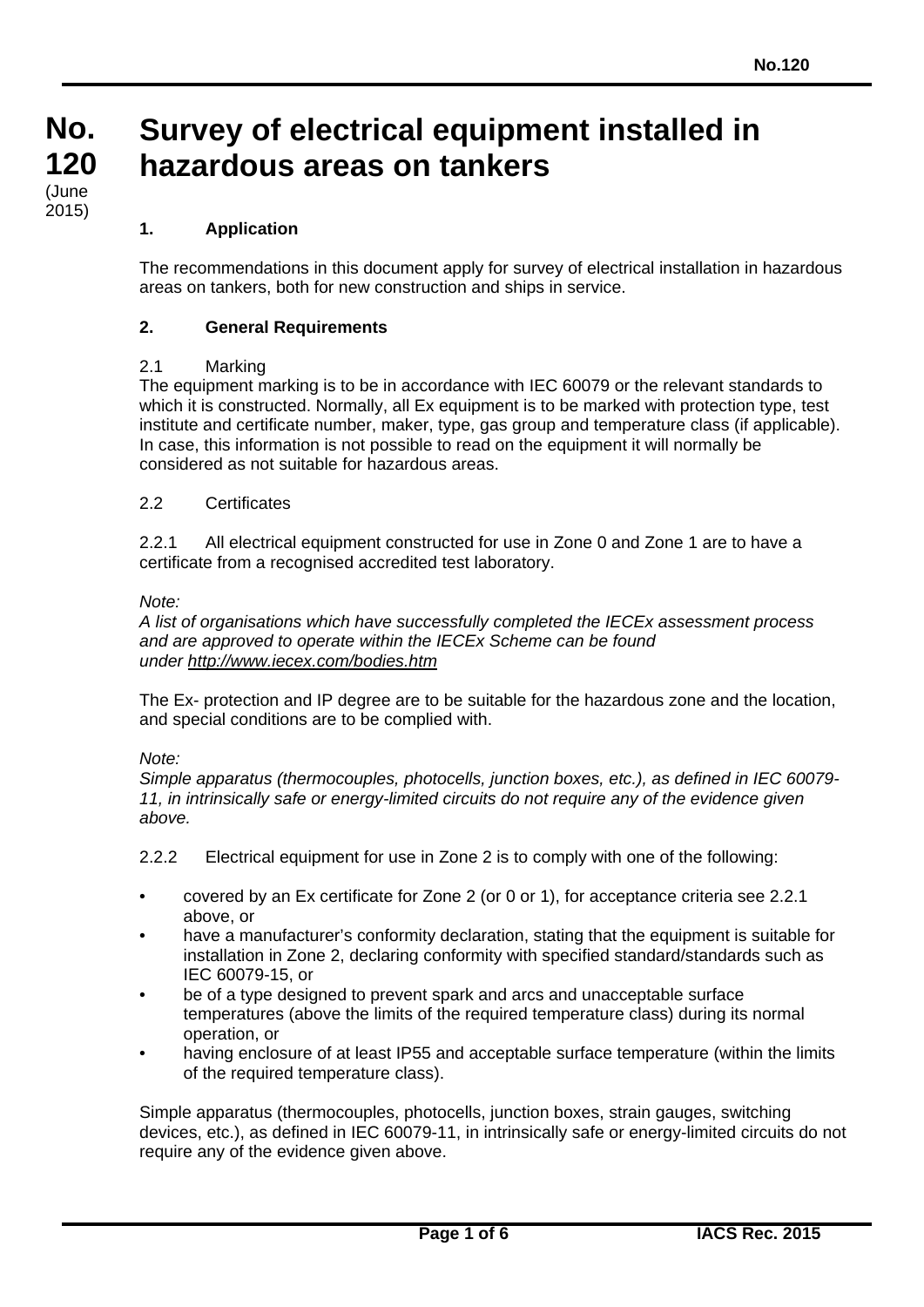# **Survey of electrical equipment installed in hazardous areas on tankers**

# **1. Application**

The recommendations in this document apply for survey of electrical installation in hazardous areas on tankers, both for new construction and ships in service.

## **2. General Requirements**

## 2.1 Marking

The equipment marking is to be in accordance with IEC 60079 or the relevant standards to which it is constructed. Normally, all Ex equipment is to be marked with protection type, test institute and certificate number, maker, type, gas group and temperature class (if applicable). In case, this information is not possible to read on the equipment it will normally be considered as not suitable for hazardous areas.

## 2.2 Certificates

2.2.1 All electrical equipment constructed for use in Zone 0 and Zone 1 are to have a certificate from a recognised accredited test laboratory.

## *Note:*

*A list of organisations which have successfully completed the IECEx assessment process and are approved to operate within the IECEx Scheme can be found under<http://www.iecex.com/bodies.htm>*

The Ex- protection and IP degree are to be suitable for the hazardous zone and the location, and special conditions are to be complied with.

## *Note:*

*Simple apparatus (thermocouples, photocells, junction boxes, etc.), as defined in IEC 60079- 11, in intrinsically safe or energy-limited circuits do not require any of the evidence given above.*

2.2.2 Electrical equipment for use in Zone 2 is to comply with one of the following:

- covered by an Ex certificate for Zone 2 (or 0 or 1), for acceptance criteria see 2.2.1 above, or
- have a manufacturer's conformity declaration, stating that the equipment is suitable for installation in Zone 2, declaring conformity with specified standard/standards such as IEC 60079-15, or
- be of a type designed to prevent spark and arcs and unacceptable surface temperatures (above the limits of the required temperature class) during its normal operation, or
- having enclosure of at least IP55 and acceptable surface temperature (within the limits of the required temperature class).

Simple apparatus (thermocouples, photocells, junction boxes, strain gauges, switching devices, etc.), as defined in IEC 60079-11, in intrinsically safe or energy-limited circuits do not require any of the evidence given above.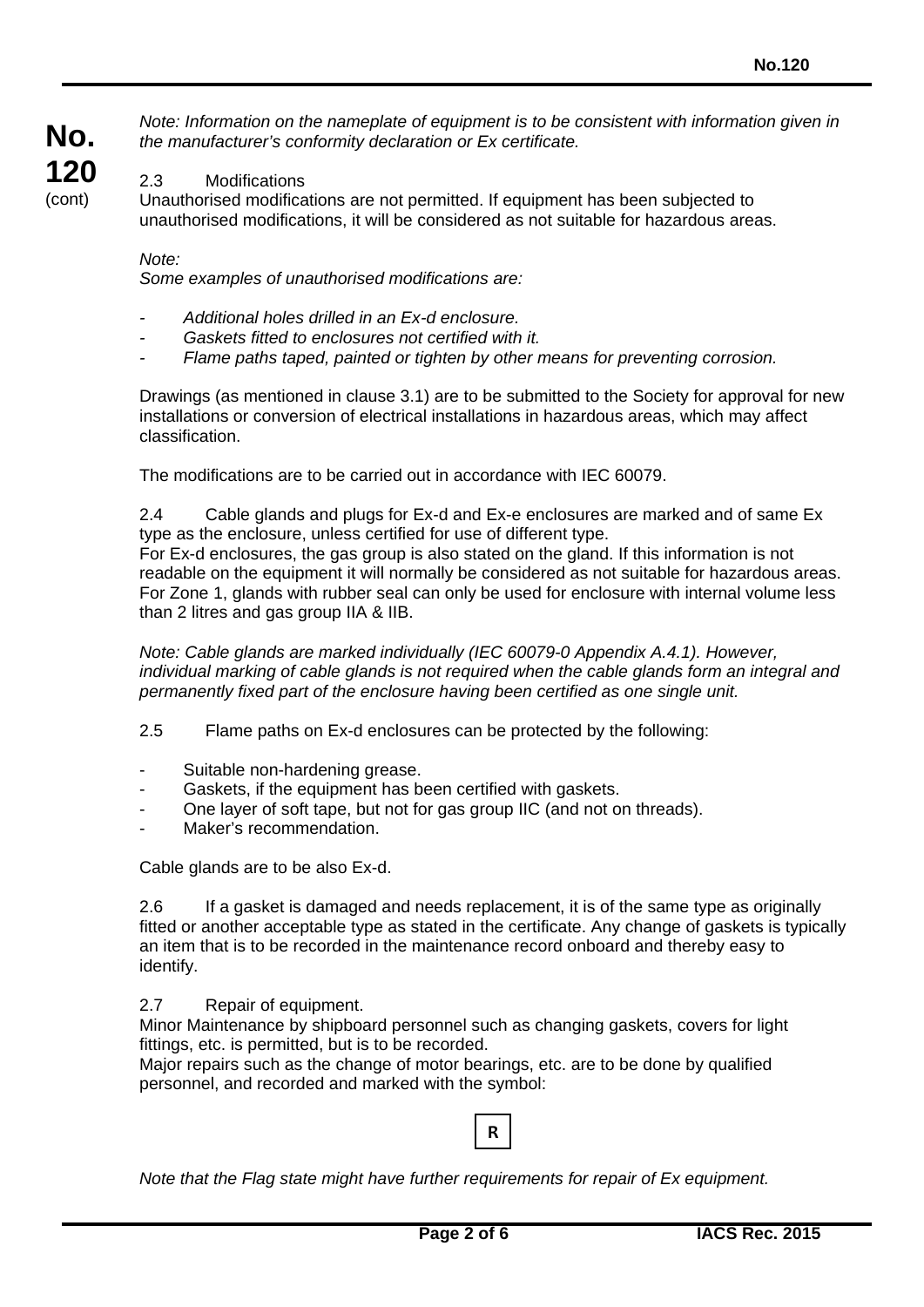**No. 120** (cont)

2.3 Modifications

Unauthorised modifications are not permitted. If equipment has been subjected to unauthorised modifications, it will be considered as not suitable for hazardous areas.

*Note: Information on the nameplate of equipment is to be consistent with information given in* 

#### *Note:*

*Some examples of unauthorised modifications are:*

*the manufacturer's conformity declaration or Ex certificate.*

- *- Additional holes drilled in an Ex-d enclosure.*
- *- Gaskets fitted to enclosures not certified with it.*
- *- Flame paths taped, painted or tighten by other means for preventing corrosion.*

Drawings (as mentioned in clause 3.1) are to be submitted to the Society for approval for new installations or conversion of electrical installations in hazardous areas, which may affect classification.

The modifications are to be carried out in accordance with IEC 60079.

2.4 Cable glands and plugs for Ex-d and Ex-e enclosures are marked and of same Ex type as the enclosure, unless certified for use of different type.

For Ex-d enclosures, the gas group is also stated on the gland. If this information is not readable on the equipment it will normally be considered as not suitable for hazardous areas. For Zone 1, glands with rubber seal can only be used for enclosure with internal volume less than 2 litres and gas group IIA & IIB.

*Note: Cable glands are marked individually (IEC 60079-0 Appendix A.4.1). However, individual marking of cable glands is not required when the cable glands form an integral and permanently fixed part of the enclosure having been certified as one single unit.*

- 2.5 Flame paths on Ex-d enclosures can be protected by the following:
- Suitable non-hardening grease.
- Gaskets, if the equipment has been certified with gaskets.
- One layer of soft tape, but not for gas group IIC (and not on threads).
- Maker's recommendation.

Cable glands are to be also Ex-d.

2.6 If a gasket is damaged and needs replacement, it is of the same type as originally fitted or another acceptable type as stated in the certificate. Any change of gaskets is typically an item that is to be recorded in the maintenance record onboard and thereby easy to identify.

2.7 Repair of equipment.

Minor Maintenance by shipboard personnel such as changing gaskets, covers for light fittings, etc. is permitted, but is to be recorded.

Major repairs such as the change of motor bearings, etc. are to be done by qualified personnel, and recorded and marked with the symbol:



*Note that the Flag state might have further requirements for repair of Ex equipment.*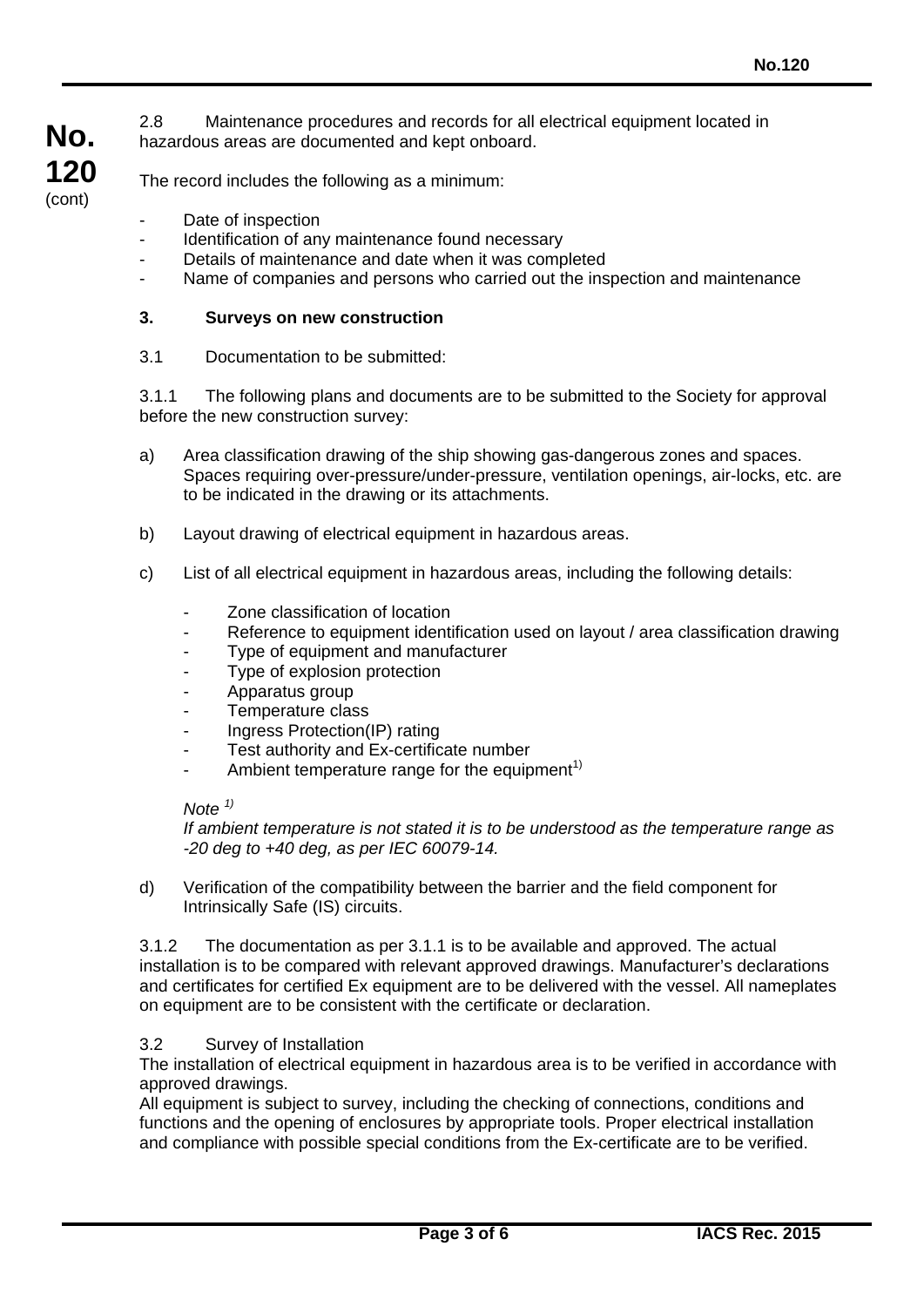2.8 Maintenance procedures and records for all electrical equipment located in hazardous areas are documented and kept onboard.

The record includes the following as a minimum:

- Date of inspection

**No.**

**120** (cont)

- Identification of any maintenance found necessary
- Details of maintenance and date when it was completed
- Name of companies and persons who carried out the inspection and maintenance

### **3. Surveys on new construction**

3.1 Documentation to be submitted:

3.1.1 The following plans and documents are to be submitted to the Society for approval before the new construction survey:

- a) Area classification drawing of the ship showing gas-dangerous zones and spaces. Spaces requiring over-pressure/under-pressure, ventilation openings, air-locks, etc. are to be indicated in the drawing or its attachments.
- b) Layout drawing of electrical equipment in hazardous areas.
- c) List of all electrical equipment in hazardous areas, including the following details:
	- Zone classification of location
	- Reference to equipment identification used on layout / area classification drawing
	- Type of equipment and manufacturer
	- Type of explosion protection
	- Apparatus group
	- Temperature class
	- Ingress Protection(IP) rating
	- Test authority and Ex-certificate number
	- Ambient temperature range for the equipment<sup>1)</sup>

#### *Note 1)*

*If ambient temperature is not stated it is to be understood as the temperature range as -20 deg to +40 deg, as per IEC 60079-14.*

d) Verification of the compatibility between the barrier and the field component for Intrinsically Safe (IS) circuits.

3.1.2 The documentation as per 3.1.1 is to be available and approved. The actual installation is to be compared with relevant approved drawings. Manufacturer's declarations and certificates for certified Ex equipment are to be delivered with the vessel. All nameplates on equipment are to be consistent with the certificate or declaration.

## 3.2 Survey of Installation

The installation of electrical equipment in hazardous area is to be verified in accordance with approved drawings.

All equipment is subject to survey, including the checking of connections, conditions and functions and the opening of enclosures by appropriate tools. Proper electrical installation and compliance with possible special conditions from the Ex-certificate are to be verified.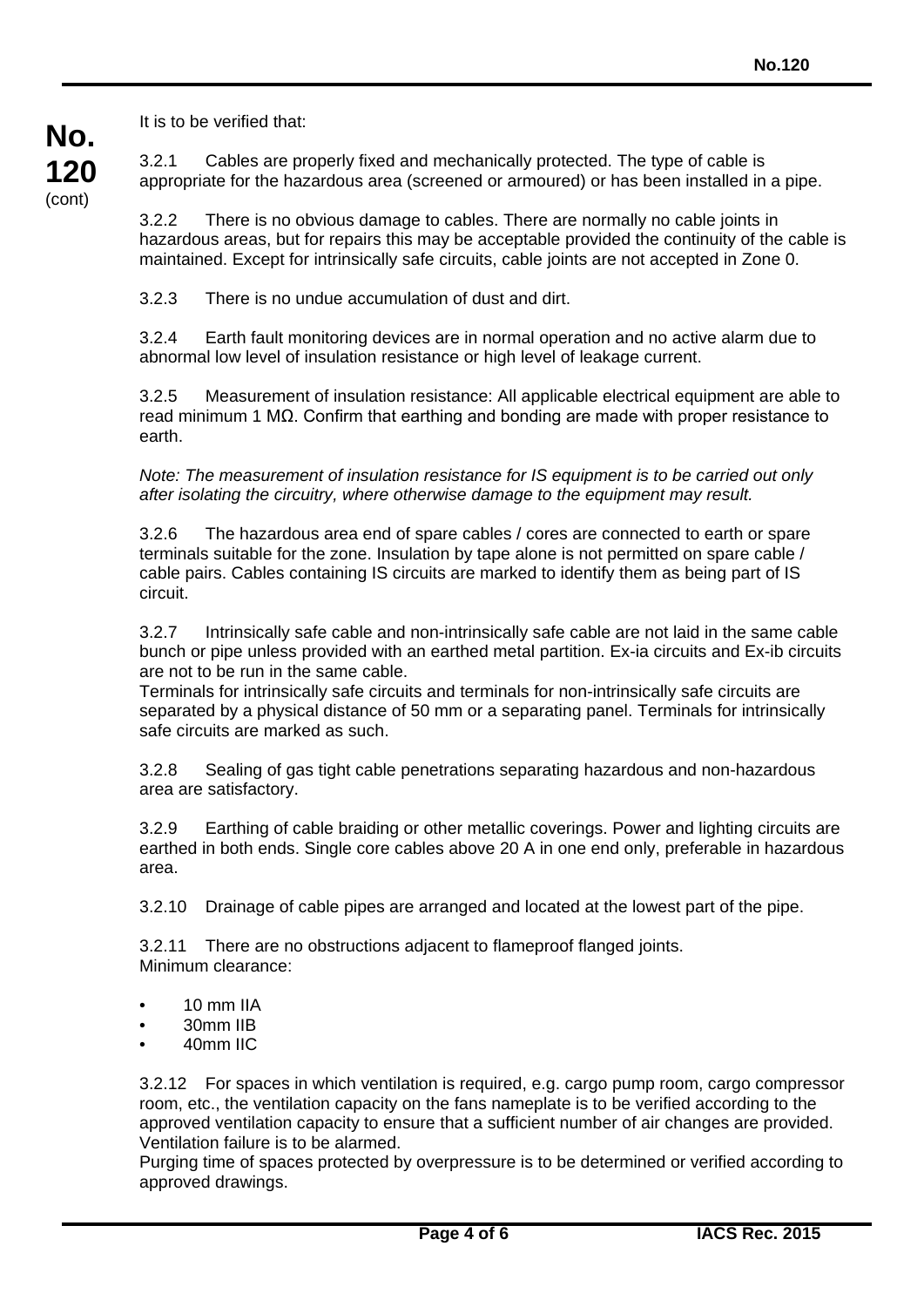**No. 120** (cont)

It is to be verified that:

3.2.1 Cables are properly fixed and mechanically protected. The type of cable is appropriate for the hazardous area (screened or armoured) or has been installed in a pipe.

3.2.2 There is no obvious damage to cables. There are normally no cable joints in hazardous areas, but for repairs this may be acceptable provided the continuity of the cable is maintained. Except for intrinsically safe circuits, cable joints are not accepted in Zone 0.

3.2.3 There is no undue accumulation of dust and dirt.

3.2.4 Earth fault monitoring devices are in normal operation and no active alarm due to abnormal low level of insulation resistance or high level of leakage current.

3.2.5 Measurement of insulation resistance: All applicable electrical equipment are able to read minimum 1 MΩ. Confirm that earthing and bonding are made with proper resistance to earth.

*Note: The measurement of insulation resistance for IS equipment is to be carried out only after isolating the circuitry, where otherwise damage to the equipment may result.*

3.2.6 The hazardous area end of spare cables / cores are connected to earth or spare terminals suitable for the zone. Insulation by tape alone is not permitted on spare cable / cable pairs. Cables containing IS circuits are marked to identify them as being part of IS circuit.

3.2.7 Intrinsically safe cable and non-intrinsically safe cable are not laid in the same cable bunch or pipe unless provided with an earthed metal partition. Ex-ia circuits and Ex-ib circuits are not to be run in the same cable.

Terminals for intrinsically safe circuits and terminals for non-intrinsically safe circuits are separated by a physical distance of 50 mm or a separating panel. Terminals for intrinsically safe circuits are marked as such.

3.2.8 Sealing of gas tight cable penetrations separating hazardous and non-hazardous area are satisfactory.

3.2.9 Earthing of cable braiding or other metallic coverings. Power and lighting circuits are earthed in both ends. Single core cables above 20 A in one end only, preferable in hazardous area.

3.2.10 Drainage of cable pipes are arranged and located at the lowest part of the pipe.

3.2.11 There are no obstructions adjacent to flameproof flanged joints. Minimum clearance:

- 10 mm IIA
- 30mm IIB
- 40mm IIC

3.2.12 For spaces in which ventilation is required, e.g. cargo pump room, cargo compressor room, etc., the ventilation capacity on the fans nameplate is to be verified according to the approved ventilation capacity to ensure that a sufficient number of air changes are provided. Ventilation failure is to be alarmed.

Purging time of spaces protected by overpressure is to be determined or verified according to approved drawings.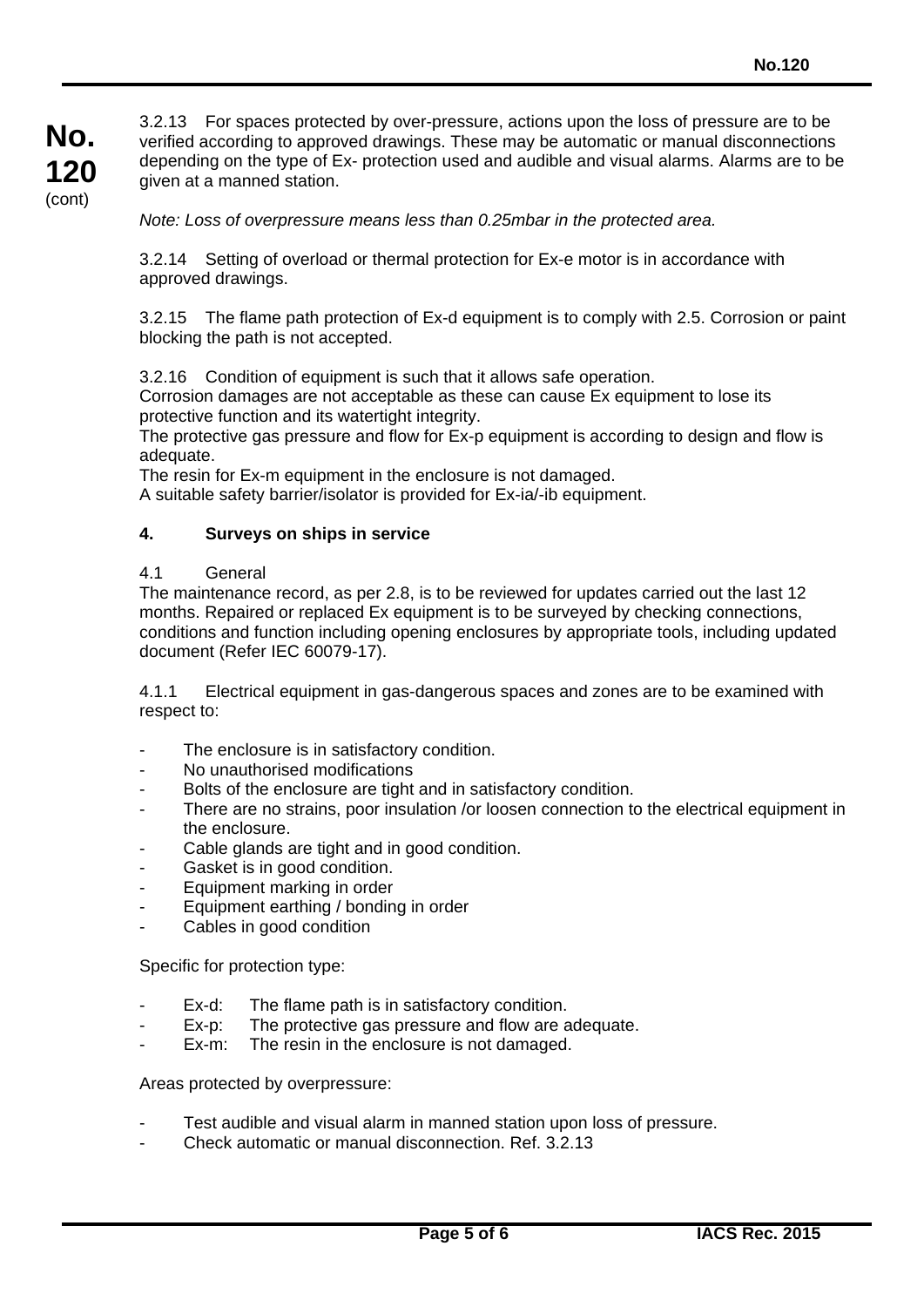3.2.13 For spaces protected by over-pressure, actions upon the loss of pressure are to be verified according to approved drawings. These may be automatic or manual disconnections depending on the type of Ex- protection used and audible and visual alarms. Alarms are to be given at a manned station.

*Note: Loss of overpressure means less than 0.25mbar in the protected area.*

3.2.14 Setting of overload or thermal protection for Ex-e motor is in accordance with approved drawings.

3.2.15 The flame path protection of Ex-d equipment is to comply with 2.5. Corrosion or paint blocking the path is not accepted.

3.2.16 Condition of equipment is such that it allows safe operation.

Corrosion damages are not acceptable as these can cause Ex equipment to lose its protective function and its watertight integrity.

The protective gas pressure and flow for Ex-p equipment is according to design and flow is adequate.

The resin for Ex-m equipment in the enclosure is not damaged.

A suitable safety barrier/isolator is provided for Ex-ia/-ib equipment.

#### **4. Surveys on ships in service**

## 4.1 General

The maintenance record, as per 2.8, is to be reviewed for updates carried out the last 12 months. Repaired or replaced Ex equipment is to be surveyed by checking connections, conditions and function including opening enclosures by appropriate tools, including updated document (Refer IEC 60079-17).

4.1.1 Electrical equipment in gas-dangerous spaces and zones are to be examined with respect to:

- The enclosure is in satisfactory condition.
- No unauthorised modifications
- Bolts of the enclosure are tight and in satisfactory condition.
- There are no strains, poor insulation /or loosen connection to the electrical equipment in the enclosure.
- Cable glands are tight and in good condition.
- Gasket is in good condition.
- Equipment marking in order
- Equipment earthing / bonding in order
- Cables in good condition

Specific for protection type:

- Ex-d: The flame path is in satisfactory condition.
- Ex-p: The protective gas pressure and flow are adequate.
- Ex-m: The resin in the enclosure is not damaged.

Areas protected by overpressure:

- Test audible and visual alarm in manned station upon loss of pressure.
- Check automatic or manual disconnection. Ref. 3.2.13